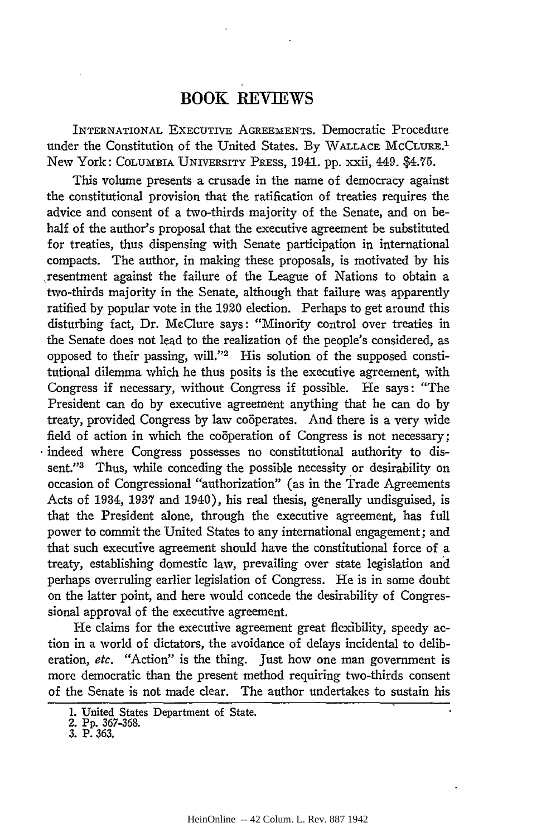## BOOK REVIEWS

INTERNATIONAL EXECUTIVE **AGREEMENTS.** Democratic Procedure under the Constitution of the United States. By **WALLACE MCCLURE.1** New York: COLUMBIA UNIVERSITY PRESS, 1941. pp. xxii, 449. \$4.75.

This volume presents a crusade in the name of democracy against the constitutional provision that the ratification of treaties requires the advice and consent of a two-thirds majority of the Senate, and on behalf of the author's proposal that the executive agreement be substituted for treaties, thus dispensing with Senate participation in international compacts. The author, in making these proposals, is motivated **by** his resentment against the failure of the League of Nations to obtain a two-thirds majority in the Senate, although that failure was apparently ratified **by** popular vote in the 1920 election. Perhaps to get around this disturbing fact, Dr. McClure says: "Minority control over treaties in the Senate does not lead to the realization of the people's considered, as opposed to their passing, will."<sup>2</sup> His solution of the supposed constitutional dilemma which he thus posits is the executive agreement, with Congress if necessary, without Congress if possible. He says: "The President can do **by** executive agreement anything that he can do **by** treaty, provided Congress by law cooperates. And there is a very wide field of action in which the cooperation of Congress is not necessary; indeed where Congress possesses no constitutional authority to dissent."<sup>3</sup> Thus, while conceding the possible necessity or desirability or occasion of Congressional "authorization" (as in the Trade Agreements Acts of 1934, **1937** and 1940), his real thesis, generally undisguised, is that the President alone, through the executive agreement, has full power to commit the United States to any international engagement; and that such executive agreement should have the constitutional force of a treaty, establishing domestic law, prevailing over state legislation and perhaps overruling earlier legislation of Congress. He is in some doubt on the latter point, and here would concede the desirability of Congressional approval of the executive agreement.

He claims for the executive agreement great flexibility, speedy action in a world of dictators, the avoidance of delays incidental to deliberation, etc. "Action" is the thing. Just how one man government is more democratic than the present method requiring two-thirds consent of the Senate is not made clear. The author undertakes to sustain his

**<sup>1.</sup>** United States Department of State.

<sup>2.</sup> **Pp.** 367-368.

<sup>3.</sup> P. 363.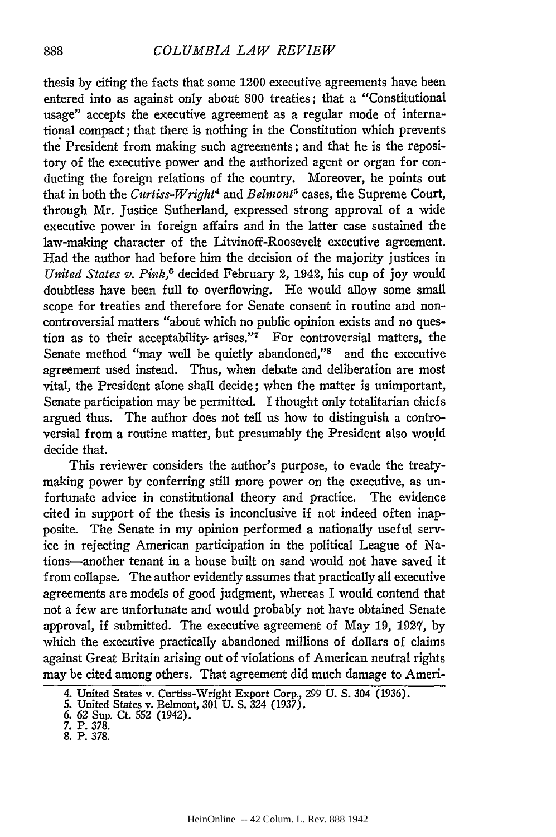thesis by citing the facts that some 1200 executive agreements have been entered into as against only about 800 treaties; that a "Constitutional usage" accepts the executive agreement as a regular mode of international compact; that there is nothing in the Constitution which prevents the President from making such agreements; and that he is the repository of the executive power and the authorized agent or organ for conducting the foreign relations of the country. Moreover, he points out that in both the *Curtiss-Wright4 and Belmont5* cases, the Supreme Court, through Mr. Justice Sutherland, expressed strong approval of a wide executive power in foreign affairs and in the latter case sustained the law-making character of the Litvinoff-Roosevelt executive agreement. Had the author had before him the decision of the majority justices in *United States v. Pink,6* decided February 2, 1942, his cup of joy would doubtless have been full to overflowing. He would allow some small scope for treaties and therefore for Senate consent in routine and noncontroversial matters "about which no public opinion exists and no question as to their acceptability arises."<sup>7</sup> For controversial matters, the Senate method "may well be quietly abandoned," $\delta$  and the executive agreement used instead. Thus, when debate and deliberation are most vital, the President alone shall decide; when the matter is unimportant, Senate participation may be permitted. I thought only totalitarian chiefs argued thus. The author does not tell us how to distinguish a controversial from a routine matter, but presumably the President also would decide that.

This reviewer considers the author's purpose, to evade the treatymaking power by conferring still more power on the executive, as unfortunate advice in constitutional theory and practice. The evidence cited in support of the thesis is inconclusive if not indeed often inapposite. The Senate in my opinion performed a nationally useful service in rejecting American participation in the political League of Nations-another tenant in a house built on sand would not have saved it from collapse. The author evidently assumes that practically all executive agreements are models of good judgment, whereas I would contend that not a few are unfortunate and would probably not have obtained Senate approval, if submitted. The executive agreement of May 19, 1927, by which the executive practically abandoned millions of dollars of claims against Great Britain arising out of violations of American neutral rights may be cited among others. That agreement did much damage to Ameri-

<sup>4.</sup> United States v. Curtiss-Wright Export Corp., 299 U. **S.** 304 (1936).

<sup>5.</sup> United States v. Belmont, 301 U. S. 324 (1937).

<sup>6. 62</sup> Sup. Ct. 552 (1942). **7.** P. 378.

**<sup>8.</sup>** P. 378.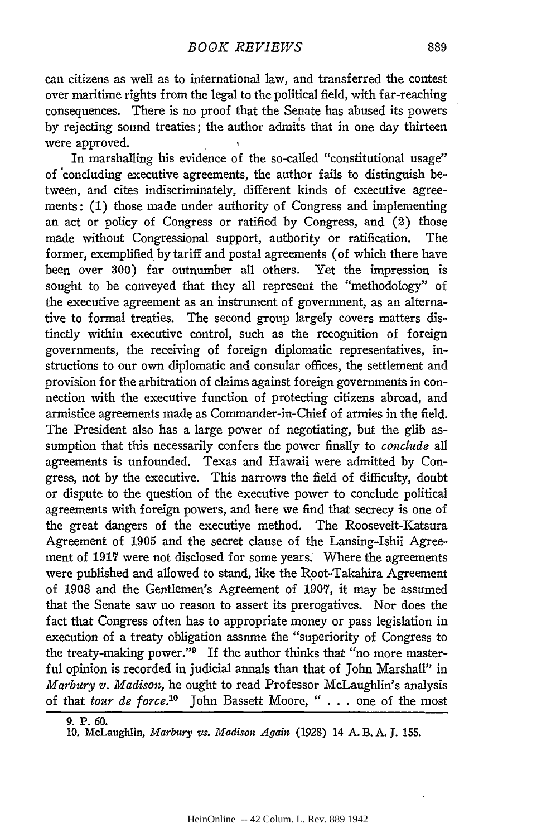can citizens as well as to international law, and transferred the contest over maritime rights from the legal to the political field, with far-reaching consequences. There is no proof that the Senate has abused its powers by rejecting sound treaties; the author admits that in one day thirteen were approved.

In marshalling his evidence of the so-called "constitutional usage" of 'concluding executive agreements, the author fails to distinguish between, and cites indiscriminately, different kinds of executive agreements: (1) those made under authority of Congress and implementing an act or policy of Congress or ratified by Congress, and (2) those made without Congressional support, authority or ratification. The former, exemplified by tariff and postal agreements (of which there have been over 300) far outnumber all others. Yet the impression is sought to be conveyed that they all represent the "methodology" of the executive agreement as an instrument of government, as an alternative to formal treaties. The second group largely covers matters distinctly within executive control, such as the recognition of foreign governments, the receiving of foreign diplomatic representatives, instructions to our own diplomatic and consular offices, the settlement and provision for the arbitration of claims against foreign governments in connection with the executive function of protecting citizens abroad, and armistice agreements made as Commander-in-Chief of armies in the field. The President also has a large power of negotiating, but the glib assumption that this necessarily confers the power finally to *conclude* all agreements is unfounded. Texas and Hawaii were admitted by Congress, not by the executive. This narrows the field of difficulty, doubt or dispute to the question of the executive power to conclude political agreements with foreign powers, and here we find that secrecy is one of the great dangers of the executiye method. The Roosevelt-Katsura Agreement of 1905 and the secret clause of the Lansing-Ishii Agreement of 1917 were not disclosed for some years. Where the agreements were published and allowed to stand, like the Root-Takahira Agreement of 1908 and the Gentlemen's Agreement of 1907, it may be assumed that the Senate saw no reason to assert its prerogatives. Nor does the fact that Congress often has to appropriate money or pass legislation in execution of a treaty obligation assume the "superiority of Congress to the treaty-making power."9 If the author thinks that "no more masterful opinion is recorded in judicial annals than that of John Marshall" in *Marbury v. Madison,* he ought to read Professor McLaughlin's analysis of that *tour de force."°* John Bassett Moore, *"* . . . one of the most

<sup>9.</sup> P. 60.

<sup>10.</sup> McLaughlin, *Marbury vs. Madison Again* (1928) 14 A. B. A. **J.** 155.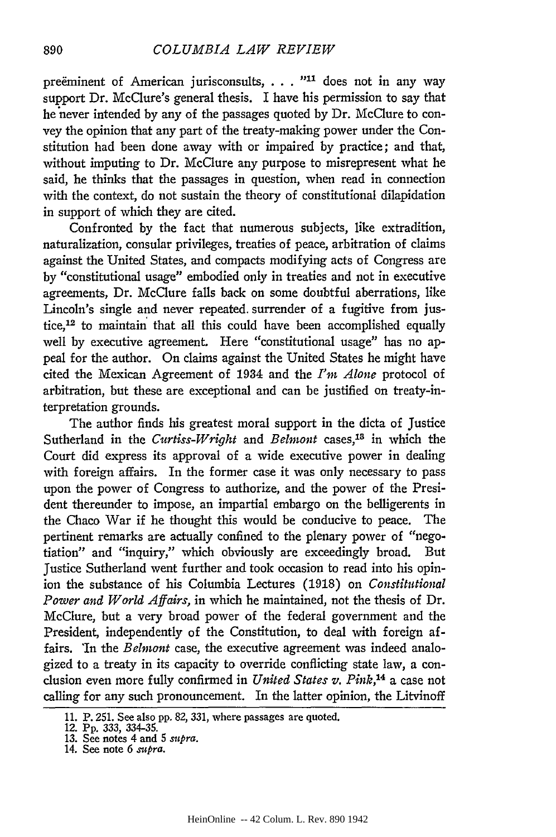preëminent of American jurisconsults, . . . "<sup>11</sup> does not in any way support Dr. McClure's general thesis. I have his permission to say that he never intended by any of the passages quoted by Dr. McClure to convey the opinion that any part of the treaty-making power under the Constitution had been done away with or impaired by practice; and that, without imputing to Dr. McClure any purpose to misrepresent what he said, he thinks that the passages in question, when read in connection with the context, do not sustain the theory of constitutional dilapidation in support of which they are cited.

Confronted by the fact that numerous subjects, like extradition, naturalization, consular privileges, treaties of peace, arbitration of claims against the United States, and compacts modifying acts of Congress are by "constitutional usage" embodied only in treaties and not in executive agreements, Dr. McClure falls back on some doubtful aberrations, like Lincoln's single and never repeated. surrender of a fugitive from justice,12 to maintain that all this could have been accomplished equally well by executive agreement. Here "constitutional usage" has no appeal for the author. On claims against the United States he might have cited the Mexican Agreement of 1934 and the *I'm Alone* protocol of arbitration, but these are exceptional and can be justified on treaty-interpretation grounds.

The author finds his greatest moral support in the dicta of Justice Sutherland in the *Curtiss-Wright* and *Belmont* cases,18 in which the Court did express its approval of a wide executive power in dealing with foreign affairs. In the former case it was only necessary to pass upon the power of Congress to authorize, and the power of the President thereunder to impose, an impartial embargo on the belligerents in the Chaco War if he thought this would be conducive to peace. The pertinent remarks are actually confined to the plenary power of "negotiation" and "inquiry," which obviously are exceedingly broad. But Justice Sutherland went further and took occasion to read into his opinion the substance of his Columbia Lectures (1918) on *Constitutional Power and World Affairs,* in which he maintained, not the thesis of Dr. McClure, but a very broad power of the federal government and the President, independently of the Constitution, to deal with foreign affairs. 'In the *Belmont* case, the executive agreement was indeed analogized to a treaty in its capacity to override conflicting state law, a conclusion even more fully confirmed in *United States v. Pink,'4* a case not calling for any such pronouncement. In the latter opinion, the Litvinoff

<sup>11.</sup> P. 251. See also **pp.** 82, 331, where passages are quoted.

<sup>12.</sup> Pp. 333, 334-35. 13. See notes 4 and 5 *spra.* 14. See note 6 *supra.*